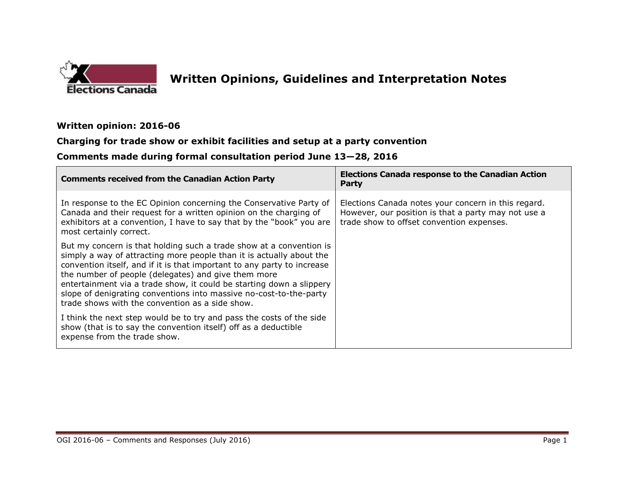

 $\overline{\phantom{0}}$ 

## **Written Opinions, Guidelines and Interpretation Notes**

## **Written opinion: 2016-06**

## **Charging for trade show or exhibit facilities and setup at a party convention**

## **Comments made during formal consultation period June 13—28, 2016**

| <b>Comments received from the Canadian Action Party</b>                                                                                                                                                                                                                                                                                                                                                                                                                        | <b>Elections Canada response to the Canadian Action</b><br>Party                                                                                        |
|--------------------------------------------------------------------------------------------------------------------------------------------------------------------------------------------------------------------------------------------------------------------------------------------------------------------------------------------------------------------------------------------------------------------------------------------------------------------------------|---------------------------------------------------------------------------------------------------------------------------------------------------------|
| In response to the EC Opinion concerning the Conservative Party of<br>Canada and their request for a written opinion on the charging of<br>exhibitors at a convention, I have to say that by the "book" you are<br>most certainly correct.                                                                                                                                                                                                                                     | Elections Canada notes your concern in this regard.<br>However, our position is that a party may not use a<br>trade show to offset convention expenses. |
| But my concern is that holding such a trade show at a convention is<br>simply a way of attracting more people than it is actually about the<br>convention itself, and if it is that important to any party to increase<br>the number of people (delegates) and give them more<br>entertainment via a trade show, it could be starting down a slippery<br>slope of denigrating conventions into massive no-cost-to-the-party<br>trade shows with the convention as a side show. |                                                                                                                                                         |
| I think the next step would be to try and pass the costs of the side<br>show (that is to say the convention itself) off as a deductible<br>expense from the trade show.                                                                                                                                                                                                                                                                                                        |                                                                                                                                                         |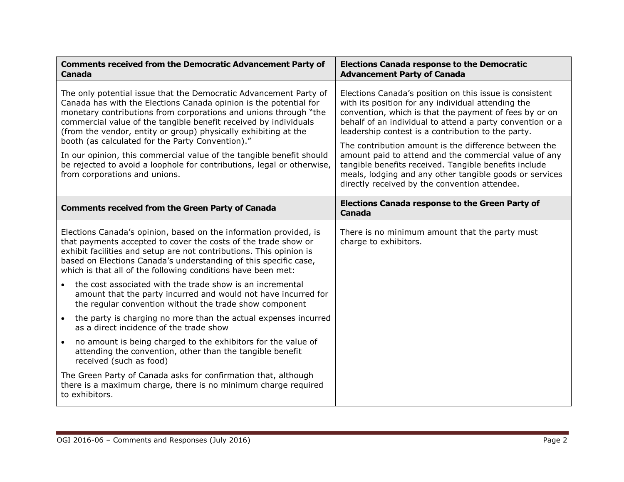| <b>Comments received from the Democratic Advancement Party of</b><br><b>Canada</b>                                                                                                                                                                                                                                                                                                                                                                                                                                                                                                       | <b>Elections Canada response to the Democratic</b><br><b>Advancement Party of Canada</b>                                                                                                                                                                                                                                                                                                                                                                                                                                                                                          |
|------------------------------------------------------------------------------------------------------------------------------------------------------------------------------------------------------------------------------------------------------------------------------------------------------------------------------------------------------------------------------------------------------------------------------------------------------------------------------------------------------------------------------------------------------------------------------------------|-----------------------------------------------------------------------------------------------------------------------------------------------------------------------------------------------------------------------------------------------------------------------------------------------------------------------------------------------------------------------------------------------------------------------------------------------------------------------------------------------------------------------------------------------------------------------------------|
| The only potential issue that the Democratic Advancement Party of<br>Canada has with the Elections Canada opinion is the potential for<br>monetary contributions from corporations and unions through "the<br>commercial value of the tangible benefit received by individuals<br>(from the vendor, entity or group) physically exhibiting at the<br>booth (as calculated for the Party Convention)."<br>In our opinion, this commercial value of the tangible benefit should<br>be rejected to avoid a loophole for contributions, legal or otherwise,<br>from corporations and unions. | Elections Canada's position on this issue is consistent<br>with its position for any individual attending the<br>convention, which is that the payment of fees by or on<br>behalf of an individual to attend a party convention or a<br>leadership contest is a contribution to the party.<br>The contribution amount is the difference between the<br>amount paid to attend and the commercial value of any<br>tangible benefits received. Tangible benefits include<br>meals, lodging and any other tangible goods or services<br>directly received by the convention attendee. |
| <b>Comments received from the Green Party of Canada</b>                                                                                                                                                                                                                                                                                                                                                                                                                                                                                                                                  | <b>Elections Canada response to the Green Party of</b><br><b>Canada</b>                                                                                                                                                                                                                                                                                                                                                                                                                                                                                                           |
| Elections Canada's opinion, based on the information provided, is<br>that payments accepted to cover the costs of the trade show or<br>exhibit facilities and setup are not contributions. This opinion is<br>based on Elections Canada's understanding of this specific case,<br>which is that all of the following conditions have been met:                                                                                                                                                                                                                                           | There is no minimum amount that the party must<br>charge to exhibitors.                                                                                                                                                                                                                                                                                                                                                                                                                                                                                                           |
| the cost associated with the trade show is an incremental<br>amount that the party incurred and would not have incurred for<br>the regular convention without the trade show component                                                                                                                                                                                                                                                                                                                                                                                                   |                                                                                                                                                                                                                                                                                                                                                                                                                                                                                                                                                                                   |
| the party is charging no more than the actual expenses incurred<br>$\bullet$<br>as a direct incidence of the trade show                                                                                                                                                                                                                                                                                                                                                                                                                                                                  |                                                                                                                                                                                                                                                                                                                                                                                                                                                                                                                                                                                   |
| no amount is being charged to the exhibitors for the value of<br>$\bullet$<br>attending the convention, other than the tangible benefit<br>received (such as food)                                                                                                                                                                                                                                                                                                                                                                                                                       |                                                                                                                                                                                                                                                                                                                                                                                                                                                                                                                                                                                   |
| The Green Party of Canada asks for confirmation that, although<br>there is a maximum charge, there is no minimum charge required<br>to exhibitors.                                                                                                                                                                                                                                                                                                                                                                                                                                       |                                                                                                                                                                                                                                                                                                                                                                                                                                                                                                                                                                                   |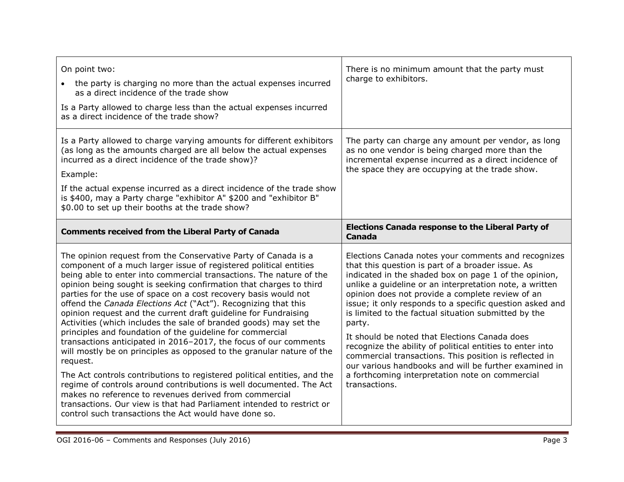| On point two:<br>the party is charging no more than the actual expenses incurred<br>as a direct incidence of the trade show<br>Is a Party allowed to charge less than the actual expenses incurred<br>as a direct incidence of the trade show?                                                                                                                                                                                                                                                                                                                                                                                                                                                                                                                                                                                                                                                                                                                                                                                                                                                                                     | There is no minimum amount that the party must<br>charge to exhibitors.                                                                                                                                                                                                                                                                                                                                                                                                                                                                                                                                                                                                                                             |
|------------------------------------------------------------------------------------------------------------------------------------------------------------------------------------------------------------------------------------------------------------------------------------------------------------------------------------------------------------------------------------------------------------------------------------------------------------------------------------------------------------------------------------------------------------------------------------------------------------------------------------------------------------------------------------------------------------------------------------------------------------------------------------------------------------------------------------------------------------------------------------------------------------------------------------------------------------------------------------------------------------------------------------------------------------------------------------------------------------------------------------|---------------------------------------------------------------------------------------------------------------------------------------------------------------------------------------------------------------------------------------------------------------------------------------------------------------------------------------------------------------------------------------------------------------------------------------------------------------------------------------------------------------------------------------------------------------------------------------------------------------------------------------------------------------------------------------------------------------------|
| Is a Party allowed to charge varying amounts for different exhibitors<br>(as long as the amounts charged are all below the actual expenses<br>incurred as a direct incidence of the trade show)?<br>Example:<br>If the actual expense incurred as a direct incidence of the trade show<br>is \$400, may a Party charge "exhibitor A" \$200 and "exhibitor B"<br>\$0.00 to set up their booths at the trade show?                                                                                                                                                                                                                                                                                                                                                                                                                                                                                                                                                                                                                                                                                                                   | The party can charge any amount per vendor, as long<br>as no one vendor is being charged more than the<br>incremental expense incurred as a direct incidence of<br>the space they are occupying at the trade show.                                                                                                                                                                                                                                                                                                                                                                                                                                                                                                  |
| <b>Comments received from the Liberal Party of Canada</b>                                                                                                                                                                                                                                                                                                                                                                                                                                                                                                                                                                                                                                                                                                                                                                                                                                                                                                                                                                                                                                                                          | <b>Elections Canada response to the Liberal Party of</b><br><b>Canada</b>                                                                                                                                                                                                                                                                                                                                                                                                                                                                                                                                                                                                                                           |
| The opinion request from the Conservative Party of Canada is a<br>component of a much larger issue of registered political entities<br>being able to enter into commercial transactions. The nature of the<br>opinion being sought is seeking confirmation that charges to third<br>parties for the use of space on a cost recovery basis would not<br>offend the Canada Elections Act ("Act"). Recognizing that this<br>opinion request and the current draft guideline for Fundraising<br>Activities (which includes the sale of branded goods) may set the<br>principles and foundation of the guideline for commercial<br>transactions anticipated in 2016-2017, the focus of our comments<br>will mostly be on principles as opposed to the granular nature of the<br>request.<br>The Act controls contributions to registered political entities, and the<br>regime of controls around contributions is well documented. The Act<br>makes no reference to revenues derived from commercial<br>transactions. Our view is that had Parliament intended to restrict or<br>control such transactions the Act would have done so. | Elections Canada notes your comments and recognizes<br>that this question is part of a broader issue. As<br>indicated in the shaded box on page 1 of the opinion,<br>unlike a guideline or an interpretation note, a written<br>opinion does not provide a complete review of an<br>issue; it only responds to a specific question asked and<br>is limited to the factual situation submitted by the<br>party.<br>It should be noted that Elections Canada does<br>recognize the ability of political entities to enter into<br>commercial transactions. This position is reflected in<br>our various handbooks and will be further examined in<br>a forthcoming interpretation note on commercial<br>transactions. |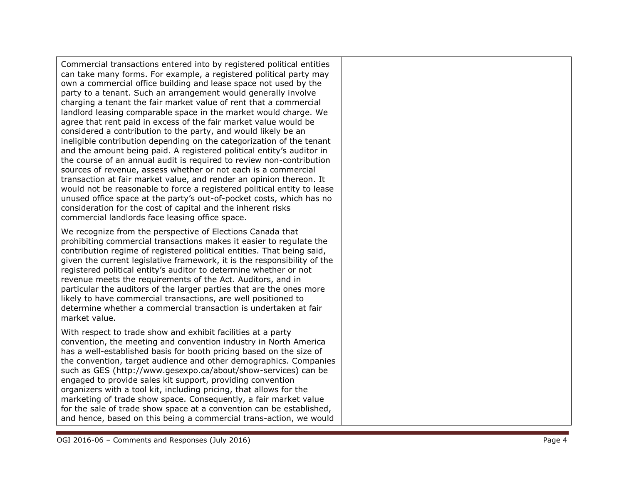Commercial transactions entered into by registered political entities can take many forms. For example, a registered political party may own a commercial office building and lease space not used by the party to a tenant. Such an arrangement would generally involve charging a tenant the fair market value of rent that a commercial landlord leasing comparable space in the market would charge. We agree that rent paid in excess of the fair market value would be considered a contribution to the party, and would likely be an ineligible contribution depending on the categorization of the tenant and the amount being paid. A registered political entit y ' s auditor in the course of an annual audit is required to review non -contribution sources of revenue, assess whether or not each is a commercial transaction at fair market value, and render an opinion thereon. It would not be reasonable to force a registered political entity to lease unused office space at the party's out - o f -pocket costs, which has no consideration for the cost of capital and the inherent risks commercial landlords face leasing office space.

We recognize from the perspective of Elections Canada that prohibiting commercial transactions makes it easier to regulate the contribution regime of registered political entities. That being said, given the current legislative framework, it is the responsibility of the registered political entity's auditor to determine whether or not revenue meets the requirements of the Act. Auditors, and in particular the auditors of the larger parties that are the ones more likely to have commercial transactions, are well positioned to determine whether a commercial transaction is undertaken at fair market value.

With respect to trade show and exhibit facilities at a party convention, the meeting and convention industry in North America has a well -established basis for booth pricing based on the size of the convention, target audience and other demographics. Companies such as GES [\(http://www.gesexpo.ca/about/show](http://www.gesexpo.ca/about/show-services) -services ) can be engaged to provide sales kit support , providing convention organizers with a tool kit, including pricing, that allow s for the marketing of trade show space. Consequently, a fair market value for the sale of trade show space at a convention can be established, and hence , based on this being a commercial trans -action , we would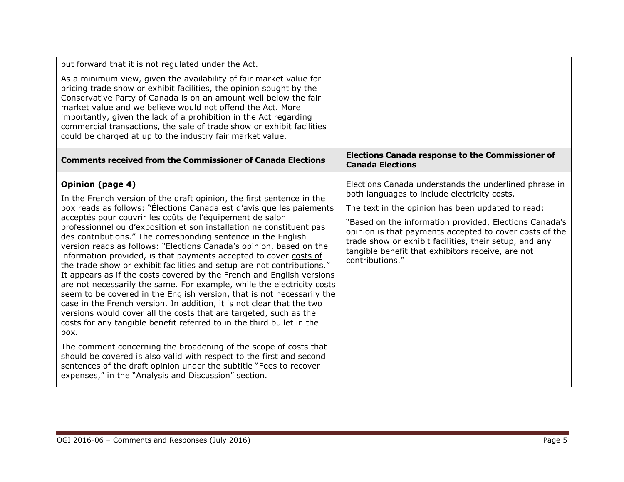| put forward that it is not regulated under the Act.                                                                                                                                                                                                                                                                                                                                                                                                                                                                                                                                                                                                                                                                                                                                                                                                                                                                                                                                                                                                                                                                                                                                                                                                                                                                                       |                                                                                                                                                                                                                                                                                                                                                                                                                   |
|-------------------------------------------------------------------------------------------------------------------------------------------------------------------------------------------------------------------------------------------------------------------------------------------------------------------------------------------------------------------------------------------------------------------------------------------------------------------------------------------------------------------------------------------------------------------------------------------------------------------------------------------------------------------------------------------------------------------------------------------------------------------------------------------------------------------------------------------------------------------------------------------------------------------------------------------------------------------------------------------------------------------------------------------------------------------------------------------------------------------------------------------------------------------------------------------------------------------------------------------------------------------------------------------------------------------------------------------|-------------------------------------------------------------------------------------------------------------------------------------------------------------------------------------------------------------------------------------------------------------------------------------------------------------------------------------------------------------------------------------------------------------------|
| As a minimum view, given the availability of fair market value for<br>pricing trade show or exhibit facilities, the opinion sought by the<br>Conservative Party of Canada is on an amount well below the fair<br>market value and we believe would not offend the Act. More<br>importantly, given the lack of a prohibition in the Act regarding<br>commercial transactions, the sale of trade show or exhibit facilities<br>could be charged at up to the industry fair market value.                                                                                                                                                                                                                                                                                                                                                                                                                                                                                                                                                                                                                                                                                                                                                                                                                                                    |                                                                                                                                                                                                                                                                                                                                                                                                                   |
| <b>Comments received from the Commissioner of Canada Elections</b>                                                                                                                                                                                                                                                                                                                                                                                                                                                                                                                                                                                                                                                                                                                                                                                                                                                                                                                                                                                                                                                                                                                                                                                                                                                                        | <b>Elections Canada response to the Commissioner of</b><br><b>Canada Elections</b>                                                                                                                                                                                                                                                                                                                                |
| <b>Opinion (page 4)</b><br>In the French version of the draft opinion, the first sentence in the<br>box reads as follows: "Élections Canada est d'avis que les paiements<br>acceptés pour couvrir les coûts de l'équipement de salon<br>professionnel ou d'exposition et son installation ne constituent pas<br>des contributions." The corresponding sentence in the English<br>version reads as follows: "Elections Canada's opinion, based on the<br>information provided, is that payments accepted to cover costs of<br>the trade show or exhibit facilities and setup are not contributions."<br>It appears as if the costs covered by the French and English versions<br>are not necessarily the same. For example, while the electricity costs<br>seem to be covered in the English version, that is not necessarily the<br>case in the French version. In addition, it is not clear that the two<br>versions would cover all the costs that are targeted, such as the<br>costs for any tangible benefit referred to in the third bullet in the<br>box.<br>The comment concerning the broadening of the scope of costs that<br>should be covered is also valid with respect to the first and second<br>sentences of the draft opinion under the subtitle "Fees to recover<br>expenses," in the "Analysis and Discussion" section. | Elections Canada understands the underlined phrase in<br>both languages to include electricity costs.<br>The text in the opinion has been updated to read:<br>"Based on the information provided, Elections Canada's<br>opinion is that payments accepted to cover costs of the<br>trade show or exhibit facilities, their setup, and any<br>tangible benefit that exhibitors receive, are not<br>contributions." |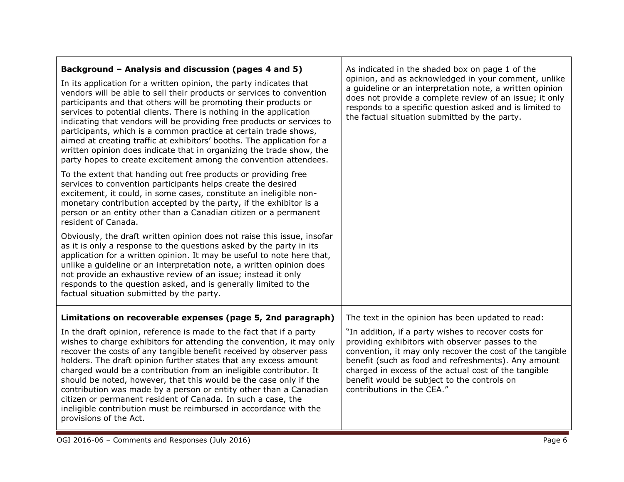| Background - Analysis and discussion (pages 4 and 5)<br>In its application for a written opinion, the party indicates that<br>vendors will be able to sell their products or services to convention<br>participants and that others will be promoting their products or<br>services to potential clients. There is nothing in the application<br>indicating that vendors will be providing free products or services to<br>participants, which is a common practice at certain trade shows,<br>aimed at creating traffic at exhibitors' booths. The application for a<br>written opinion does indicate that in organizing the trade show, the<br>party hopes to create excitement among the convention attendees.<br>To the extent that handing out free products or providing free<br>services to convention participants helps create the desired<br>excitement, it could, in some cases, constitute an ineligible non-<br>monetary contribution accepted by the party, if the exhibitor is a<br>person or an entity other than a Canadian citizen or a permanent<br>resident of Canada.<br>Obviously, the draft written opinion does not raise this issue, insofar<br>as it is only a response to the questions asked by the party in its<br>application for a written opinion. It may be useful to note here that,<br>unlike a guideline or an interpretation note, a written opinion does<br>not provide an exhaustive review of an issue; instead it only<br>responds to the question asked, and is generally limited to the<br>factual situation submitted by the party. | As indicated in the shaded box on page 1 of the<br>opinion, and as acknowledged in your comment, unlike<br>a guideline or an interpretation note, a written opinion<br>does not provide a complete review of an issue; it only<br>responds to a specific question asked and is limited to<br>the factual situation submitted by the party.                                                                            |
|---------------------------------------------------------------------------------------------------------------------------------------------------------------------------------------------------------------------------------------------------------------------------------------------------------------------------------------------------------------------------------------------------------------------------------------------------------------------------------------------------------------------------------------------------------------------------------------------------------------------------------------------------------------------------------------------------------------------------------------------------------------------------------------------------------------------------------------------------------------------------------------------------------------------------------------------------------------------------------------------------------------------------------------------------------------------------------------------------------------------------------------------------------------------------------------------------------------------------------------------------------------------------------------------------------------------------------------------------------------------------------------------------------------------------------------------------------------------------------------------------------------------------------------------------------------------------------|-----------------------------------------------------------------------------------------------------------------------------------------------------------------------------------------------------------------------------------------------------------------------------------------------------------------------------------------------------------------------------------------------------------------------|
| Limitations on recoverable expenses (page 5, 2nd paragraph)<br>In the draft opinion, reference is made to the fact that if a party<br>wishes to charge exhibitors for attending the convention, it may only<br>recover the costs of any tangible benefit received by observer pass<br>holders. The draft opinion further states that any excess amount<br>charged would be a contribution from an ineligible contributor. It<br>should be noted, however, that this would be the case only if the<br>contribution was made by a person or entity other than a Canadian<br>citizen or permanent resident of Canada. In such a case, the<br>ineligible contribution must be reimbursed in accordance with the<br>provisions of the Act.                                                                                                                                                                                                                                                                                                                                                                                                                                                                                                                                                                                                                                                                                                                                                                                                                                           | The text in the opinion has been updated to read:<br>"In addition, if a party wishes to recover costs for<br>providing exhibitors with observer passes to the<br>convention, it may only recover the cost of the tangible<br>benefit (such as food and refreshments). Any amount<br>charged in excess of the actual cost of the tangible<br>benefit would be subject to the controls on<br>contributions in the CEA." |